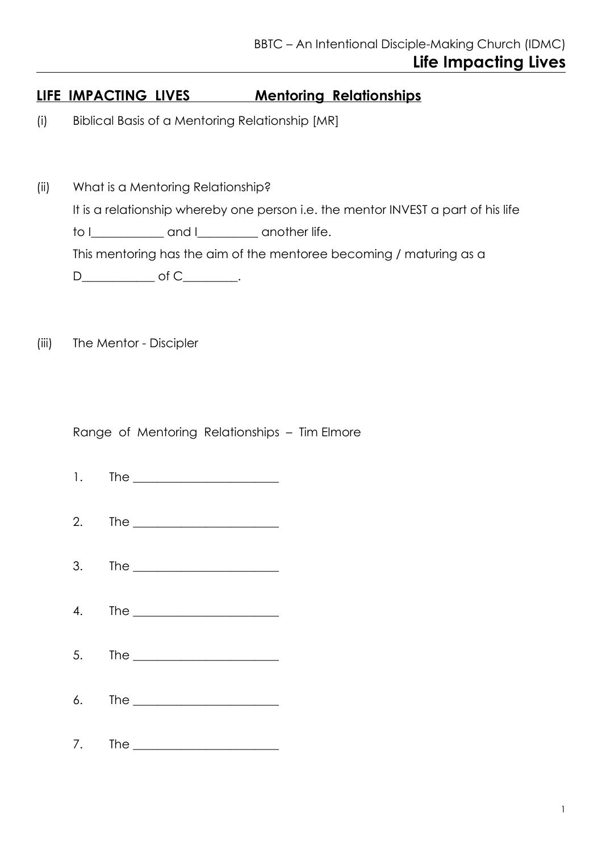## **LIFE IMPACTING LIVES Mentoring Relationships**

- (i) Biblical Basis of a Mentoring Relationship [MR]
- (ii) What is a Mentoring Relationship? It is a relationship whereby one person i.e. the mentor INVEST a part of his life to I\_\_\_\_\_\_\_\_\_\_\_\_\_ and I\_\_\_\_\_\_\_\_\_ another life. This mentoring has the aim of the mentoree becoming / maturing as a D\_\_\_\_\_\_\_\_\_\_\_\_\_ of C\_\_\_\_\_\_\_\_\_.
- (iii) The Mentor Discipler

Range of Mentoring Relationships – Tim Elmore

 $1.$  The  $\blacksquare$ 2. The \_\_\_\_\_\_\_\_\_\_\_\_\_\_\_\_\_\_\_\_\_\_\_\_  $3.$  The  $\blacksquare$ 4. The \_\_\_\_\_\_\_\_\_\_\_\_\_\_\_\_\_\_\_\_\_\_\_\_ 5. The \_\_\_\_\_\_\_\_\_\_\_\_\_\_\_\_\_\_\_\_\_\_\_\_  $6.$  The  $\blacksquare$ 7. The 2008 and 2008 and 2008 and 2008 and 2008 and 2008 and 2008 and 2008 and 2008 and 2008 and 2008 and 2008